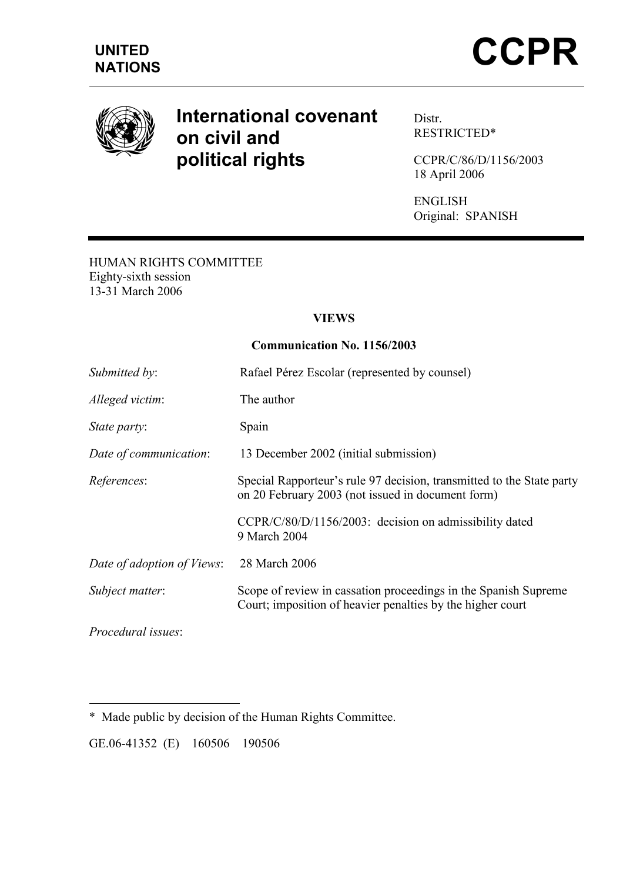

# International covenant on civil and political rights

Distr. RESTRICTED\*

CCPR/C/86/D/1156/2003 18 April 2006

ENGLISH Original: SPANISH

#### HUMAN RIGHTS COMMITTEE Eighty-sixth session 13-31 March 2006

### VIEWS

#### Communication No. 1156/2003

| Submitted by:              | Rafael Pérez Escolar (represented by counsel)                                                                                 |
|----------------------------|-------------------------------------------------------------------------------------------------------------------------------|
| Alleged victim:            | The author                                                                                                                    |
| State party:               | Spain                                                                                                                         |
| Date of communication:     | 13 December 2002 (initial submission)                                                                                         |
| References:                | Special Rapporteur's rule 97 decision, transmitted to the State party<br>on 20 February 2003 (not issued in document form)    |
|                            | CCPR/C/80/D/1156/2003: decision on admissibility dated<br>9 March 2004                                                        |
| Date of adoption of Views: | 28 March 2006                                                                                                                 |
| Subject matter:            | Scope of review in cassation proceedings in the Spanish Supreme<br>Court; imposition of heavier penalties by the higher court |
| <i>Procedural issues:</i>  |                                                                                                                               |

 $\overline{a}$ \* Made public by decision of the Human Rights Committee.

GE.06-41352 (E) 160506 190506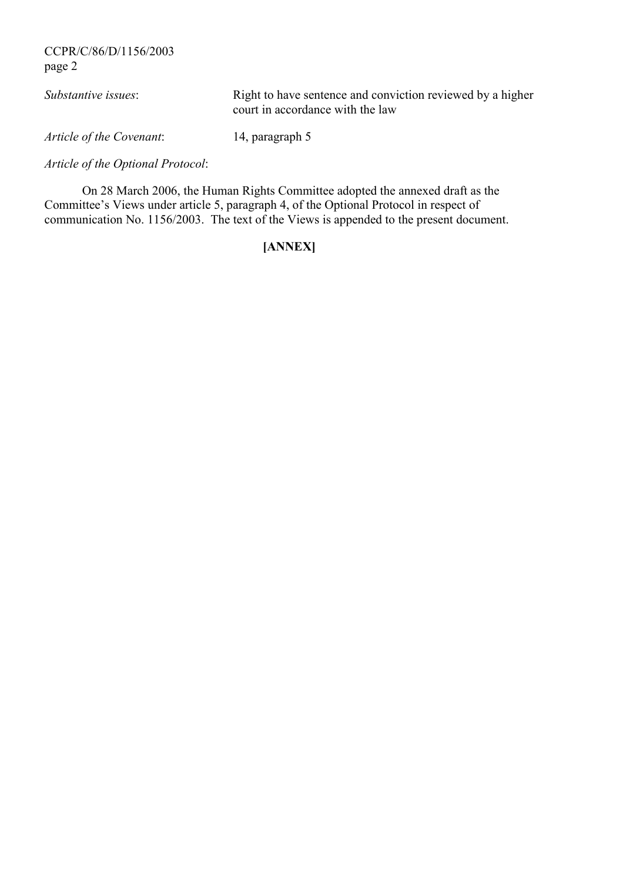| <i>Substantive issues:</i> | Right to have sentence and conviction reviewed by a higher<br>court in accordance with the law |
|----------------------------|------------------------------------------------------------------------------------------------|
| Article of the Covenant:   | 14, paragraph 5                                                                                |

Article of the Optional Protocol:

 On 28 March 2006, the Human Rights Committee adopted the annexed draft as the Committee's Views under article 5, paragraph 4, of the Optional Protocol in respect of communication No. 1156/2003. The text of the Views is appended to the present document.

# [ANNEX]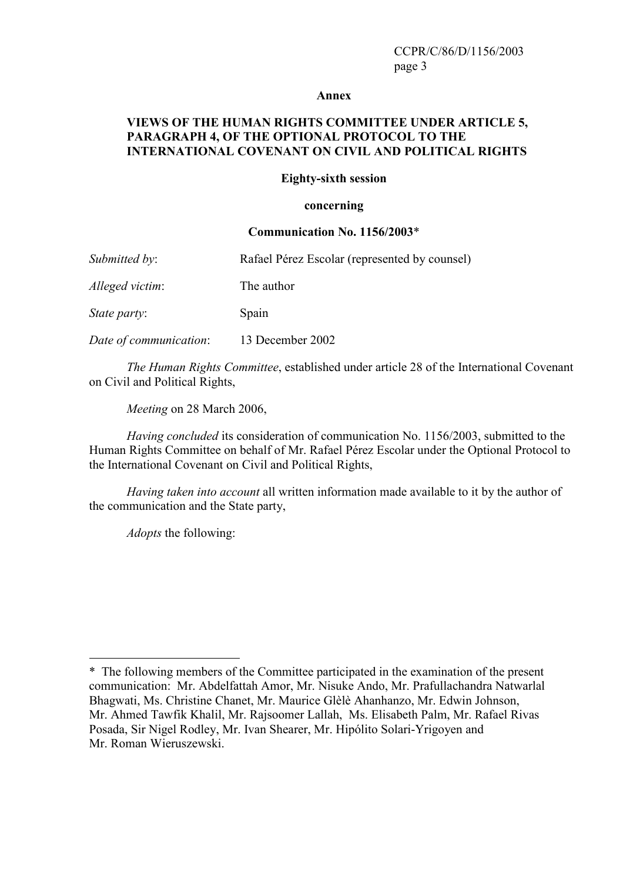#### Annex

#### VIEWS OF THE HUMAN RIGHTS COMMITTEE UNDER ARTICLE 5, PARAGRAPH 4, OF THE OPTIONAL PROTOCOL TO THE INTERNATIONAL COVENANT ON CIVIL AND POLITICAL RIGHTS

#### Eighty-sixth session

#### concerning

#### Communication No. 1156/2003\*

| Submitted by:       | Rafael Pérez Escolar (represented by counsel) |
|---------------------|-----------------------------------------------|
| Alleged victim:     | The author                                    |
| <i>State party:</i> | Spain                                         |

Date of communication: 13 December 2002

 The Human Rights Committee, established under article 28 of the International Covenant on Civil and Political Rights,

Meeting on 28 March 2006,

Having concluded its consideration of communication No. 1156/2003, submitted to the Human Rights Committee on behalf of Mr. Rafael Pérez Escolar under the Optional Protocol to the International Covenant on Civil and Political Rights,

Having taken into account all written information made available to it by the author of the communication and the State party,

Adopts the following:

 $\overline{a}$ 

<sup>\*</sup> The following members of the Committee participated in the examination of the present communication: Mr. Abdelfattah Amor, Mr. Nisuke Ando, Mr. Prafullachandra Natwarlal Bhagwati, Ms. Christine Chanet, Mr. Maurice Glèlè Ahanhanzo, Mr. Edwin Johnson, Mr. Ahmed Tawfik Khalil, Mr. Rajsoomer Lallah, Ms. Elisabeth Palm, Mr. Rafael Rivas Posada, Sir Nigel Rodley, Mr. Ivan Shearer, Mr. Hipólito Solari-Yrigoyen and Mr. Roman Wieruszewski.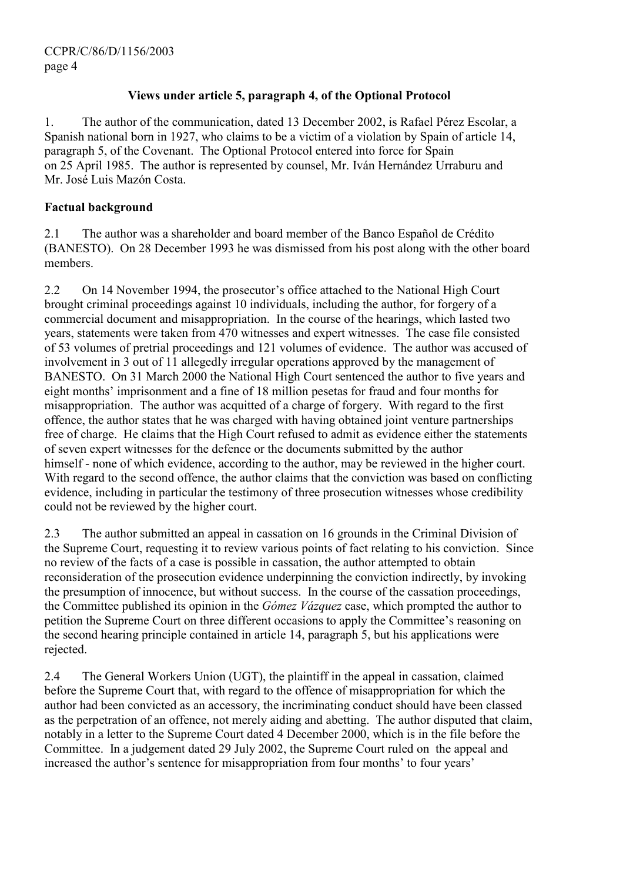### Views under article 5, paragraph 4, of the Optional Protocol

1. The author of the communication, dated 13 December 2002, is Rafael Pérez Escolar, a Spanish national born in 1927, who claims to be a victim of a violation by Spain of article 14, paragraph 5, of the Covenant. The Optional Protocol entered into force for Spain on 25 April 1985. The author is represented by counsel, Mr. Iván Hernández Urraburu and Mr. José Luis Mazón Costa.

### Factual background

2.1 The author was a shareholder and board member of the Banco Español de Crédito (BANESTO). On 28 December 1993 he was dismissed from his post along with the other board members.

2.2 On 14 November 1994, the prosecutor's office attached to the National High Court brought criminal proceedings against 10 individuals, including the author, for forgery of a commercial document and misappropriation. In the course of the hearings, which lasted two years, statements were taken from 470 witnesses and expert witnesses. The case file consisted of 53 volumes of pretrial proceedings and 121 volumes of evidence. The author was accused of involvement in 3 out of 11 allegedly irregular operations approved by the management of BANESTO. On 31 March 2000 the National High Court sentenced the author to five years and eight months' imprisonment and a fine of 18 million pesetas for fraud and four months for misappropriation. The author was acquitted of a charge of forgery. With regard to the first offence, the author states that he was charged with having obtained joint venture partnerships free of charge. He claims that the High Court refused to admit as evidence either the statements of seven expert witnesses for the defence or the documents submitted by the author himself - none of which evidence, according to the author, may be reviewed in the higher court. With regard to the second offence, the author claims that the conviction was based on conflicting evidence, including in particular the testimony of three prosecution witnesses whose credibility could not be reviewed by the higher court.

2.3 The author submitted an appeal in cassation on 16 grounds in the Criminal Division of the Supreme Court, requesting it to review various points of fact relating to his conviction. Since no review of the facts of a case is possible in cassation, the author attempted to obtain reconsideration of the prosecution evidence underpinning the conviction indirectly, by invoking the presumption of innocence, but without success. In the course of the cassation proceedings, the Committee published its opinion in the Gómez Vázquez case, which prompted the author to petition the Supreme Court on three different occasions to apply the Committee's reasoning on the second hearing principle contained in article 14, paragraph 5, but his applications were rejected.

2.4 The General Workers Union (UGT), the plaintiff in the appeal in cassation, claimed before the Supreme Court that, with regard to the offence of misappropriation for which the author had been convicted as an accessory, the incriminating conduct should have been classed as the perpetration of an offence, not merely aiding and abetting. The author disputed that claim, notably in a letter to the Supreme Court dated 4 December 2000, which is in the file before the Committee. In a judgement dated 29 July 2002, the Supreme Court ruled on the appeal and increased the author's sentence for misappropriation from four months' to four years'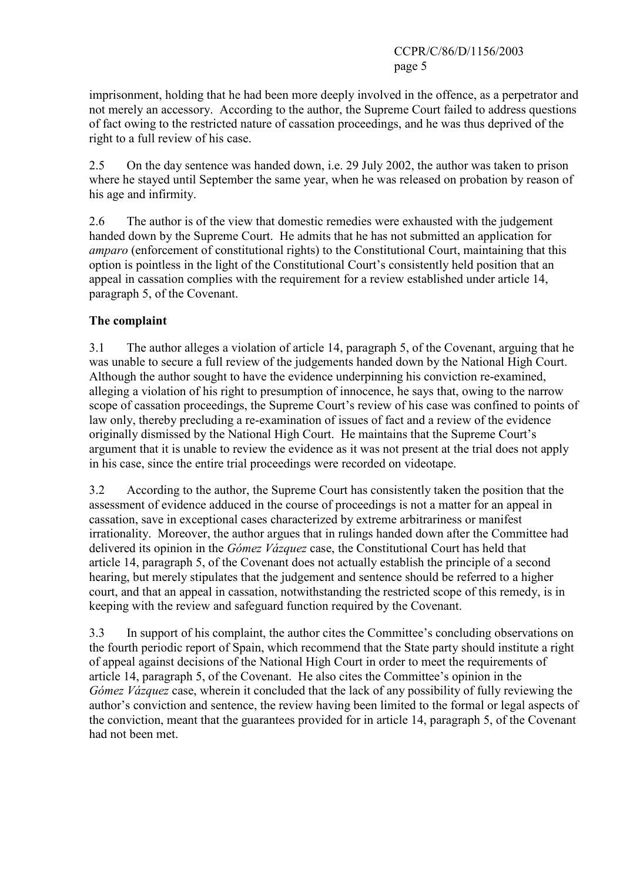imprisonment, holding that he had been more deeply involved in the offence, as a perpetrator and not merely an accessory. According to the author, the Supreme Court failed to address questions of fact owing to the restricted nature of cassation proceedings, and he was thus deprived of the right to a full review of his case.

2.5 On the day sentence was handed down, i.e. 29 July 2002, the author was taken to prison where he staved until September the same year, when he was released on probation by reason of his age and infirmity.

2.6 The author is of the view that domestic remedies were exhausted with the judgement handed down by the Supreme Court. He admits that he has not submitted an application for amparo (enforcement of constitutional rights) to the Constitutional Court, maintaining that this option is pointless in the light of the Constitutional Court's consistently held position that an appeal in cassation complies with the requirement for a review established under article 14, paragraph 5, of the Covenant.

# The complaint

3.1 The author alleges a violation of article 14, paragraph 5, of the Covenant, arguing that he was unable to secure a full review of the judgements handed down by the National High Court. Although the author sought to have the evidence underpinning his conviction re-examined, alleging a violation of his right to presumption of innocence, he says that, owing to the narrow scope of cassation proceedings, the Supreme Court's review of his case was confined to points of law only, thereby precluding a re-examination of issues of fact and a review of the evidence originally dismissed by the National High Court. He maintains that the Supreme Court's argument that it is unable to review the evidence as it was not present at the trial does not apply in his case, since the entire trial proceedings were recorded on videotape.

3.2 According to the author, the Supreme Court has consistently taken the position that the assessment of evidence adduced in the course of proceedings is not a matter for an appeal in cassation, save in exceptional cases characterized by extreme arbitrariness or manifest irrationality. Moreover, the author argues that in rulings handed down after the Committee had delivered its opinion in the Gómez Vázquez case, the Constitutional Court has held that article 14, paragraph 5, of the Covenant does not actually establish the principle of a second hearing, but merely stipulates that the judgement and sentence should be referred to a higher court, and that an appeal in cassation, notwithstanding the restricted scope of this remedy, is in keeping with the review and safeguard function required by the Covenant.

3.3 In support of his complaint, the author cites the Committee's concluding observations on the fourth periodic report of Spain, which recommend that the State party should institute a right of appeal against decisions of the National High Court in order to meet the requirements of article 14, paragraph 5, of the Covenant. He also cites the Committee's opinion in the Gómez Vázquez case, wherein it concluded that the lack of any possibility of fully reviewing the author's conviction and sentence, the review having been limited to the formal or legal aspects of the conviction, meant that the guarantees provided for in article 14, paragraph 5, of the Covenant had not been met.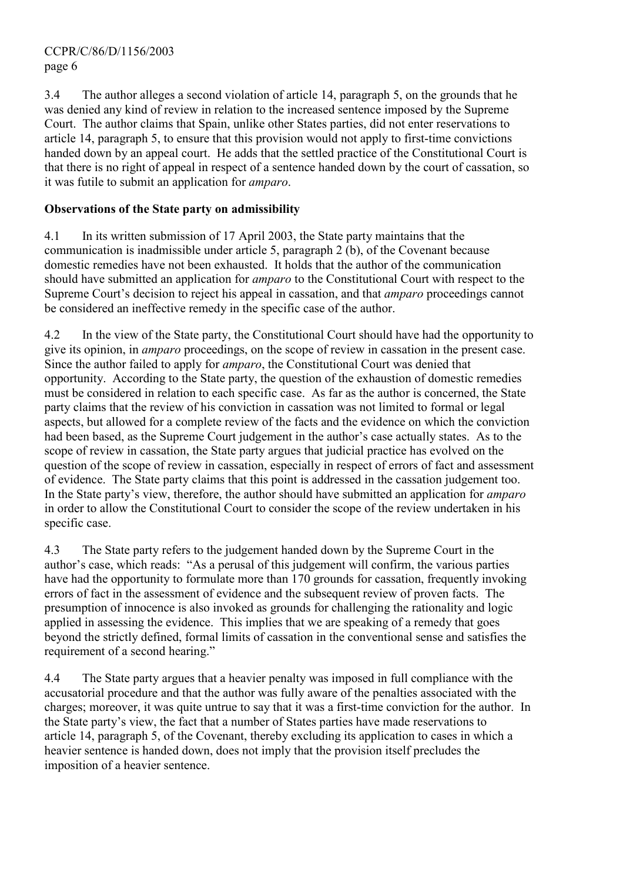3.4 The author alleges a second violation of article 14, paragraph 5, on the grounds that he was denied any kind of review in relation to the increased sentence imposed by the Supreme Court. The author claims that Spain, unlike other States parties, did not enter reservations to article 14, paragraph 5, to ensure that this provision would not apply to first-time convictions handed down by an appeal court. He adds that the settled practice of the Constitutional Court is that there is no right of appeal in respect of a sentence handed down by the court of cassation, so it was futile to submit an application for amparo.

### Observations of the State party on admissibility

4.1 In its written submission of 17 April 2003, the State party maintains that the communication is inadmissible under article 5, paragraph 2 (b), of the Covenant because domestic remedies have not been exhausted. It holds that the author of the communication should have submitted an application for amparo to the Constitutional Court with respect to the Supreme Court's decision to reject his appeal in cassation, and that *amparo* proceedings cannot be considered an ineffective remedy in the specific case of the author.

4.2 In the view of the State party, the Constitutional Court should have had the opportunity to give its opinion, in amparo proceedings, on the scope of review in cassation in the present case. Since the author failed to apply for *amparo*, the Constitutional Court was denied that opportunity. According to the State party, the question of the exhaustion of domestic remedies must be considered in relation to each specific case. As far as the author is concerned, the State party claims that the review of his conviction in cassation was not limited to formal or legal aspects, but allowed for a complete review of the facts and the evidence on which the conviction had been based, as the Supreme Court judgement in the author's case actually states. As to the scope of review in cassation, the State party argues that judicial practice has evolved on the question of the scope of review in cassation, especially in respect of errors of fact and assessment of evidence. The State party claims that this point is addressed in the cassation judgement too. In the State party's view, therefore, the author should have submitted an application for amparo in order to allow the Constitutional Court to consider the scope of the review undertaken in his specific case.

4.3 The State party refers to the judgement handed down by the Supreme Court in the author's case, which reads: "As a perusal of this judgement will confirm, the various parties have had the opportunity to formulate more than 170 grounds for cassation, frequently invoking errors of fact in the assessment of evidence and the subsequent review of proven facts. The presumption of innocence is also invoked as grounds for challenging the rationality and logic applied in assessing the evidence. This implies that we are speaking of a remedy that goes beyond the strictly defined, formal limits of cassation in the conventional sense and satisfies the requirement of a second hearing."

4.4 The State party argues that a heavier penalty was imposed in full compliance with the accusatorial procedure and that the author was fully aware of the penalties associated with the charges; moreover, it was quite untrue to say that it was a first-time conviction for the author. In the State party's view, the fact that a number of States parties have made reservations to article 14, paragraph 5, of the Covenant, thereby excluding its application to cases in which a heavier sentence is handed down, does not imply that the provision itself precludes the imposition of a heavier sentence.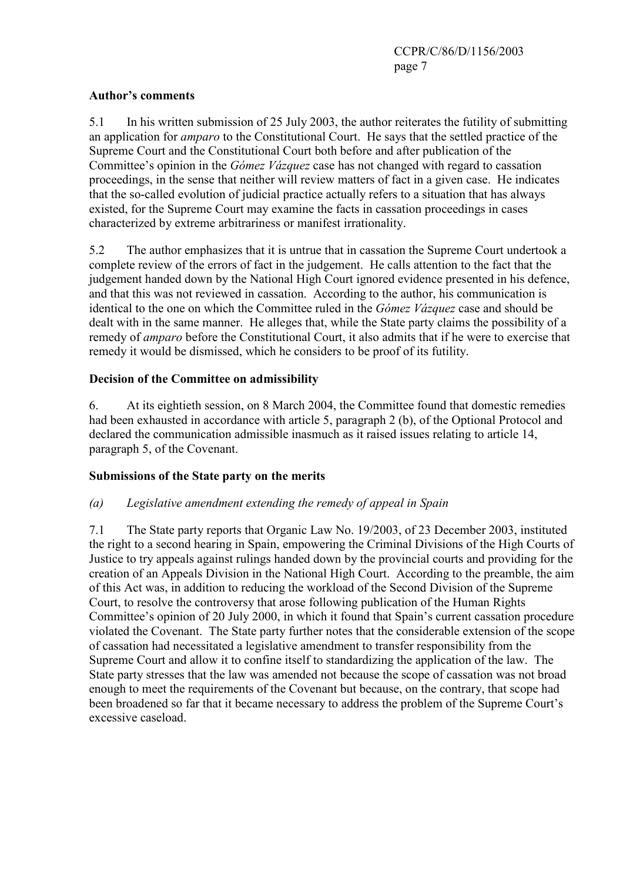### Author's comments

5.1 In his written submission of 25 July 2003, the author reiterates the futility of submitting an application for amparo to the Constitutional Court. He says that the settled practice of the Supreme Court and the Constitutional Court both before and after publication of the Committee's opinion in the Gómez Vázquez case has not changed with regard to cassation proceedings, in the sense that neither will review matters of fact in a given case. He indicates that the so-called evolution of judicial practice actually refers to a situation that has always existed, for the Supreme Court may examine the facts in cassation proceedings in cases characterized by extreme arbitrariness or manifest irrationality.

5.2 The author emphasizes that it is untrue that in cassation the Supreme Court undertook a complete review of the errors of fact in the judgement. He calls attention to the fact that the judgement handed down by the National High Court ignored evidence presented in his defence, and that this was not reviewed in cassation. According to the author, his communication is identical to the one on which the Committee ruled in the *Gómez Vázquez* case and should be dealt with in the same manner. He alleges that, while the State party claims the possibility of a remedy of amparo before the Constitutional Court, it also admits that if he were to exercise that remedy it would be dismissed, which he considers to be proof of its futility.

# Decision of the Committee on admissibility

6. At its eightieth session, on 8 March 2004, the Committee found that domestic remedies had been exhausted in accordance with article 5, paragraph 2 (b), of the Optional Protocol and declared the communication admissible inasmuch as it raised issues relating to article 14, paragraph 5, of the Covenant.

# Submissions of the State party on the merits

# (a) Legislative amendment extending the remedy of appeal in Spain

7.1 The State party reports that Organic Law No. 19/2003, of 23 December 2003, instituted the right to a second hearing in Spain, empowering the Criminal Divisions of the High Courts of Justice to try appeals against rulings handed down by the provincial courts and providing for the creation of an Appeals Division in the National High Court. According to the preamble, the aim of this Act was, in addition to reducing the workload of the Second Division of the Supreme Court, to resolve the controversy that arose following publication of the Human Rights Committee's opinion of 20 July 2000, in which it found that Spain's current cassation procedure violated the Covenant. The State party further notes that the considerable extension of the scope of cassation had necessitated a legislative amendment to transfer responsibility from the Supreme Court and allow it to confine itself to standardizing the application of the law. The State party stresses that the law was amended not because the scope of cassation was not broad enough to meet the requirements of the Covenant but because, on the contrary, that scope had been broadened so far that it became necessary to address the problem of the Supreme Court's excessive caseload.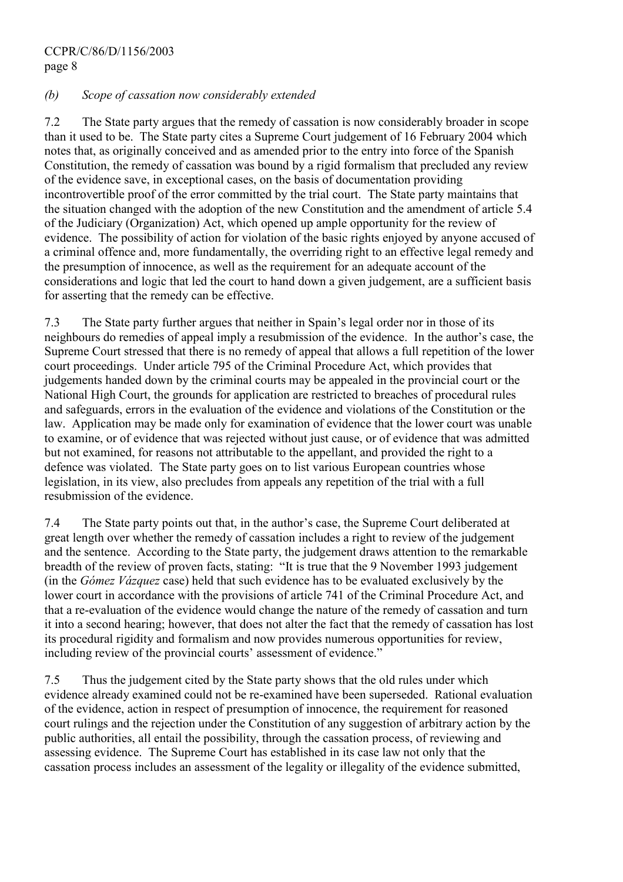### (b) Scope of cassation now considerably extended

7.2 The State party argues that the remedy of cassation is now considerably broader in scope than it used to be. The State party cites a Supreme Court judgement of 16 February 2004 which notes that, as originally conceived and as amended prior to the entry into force of the Spanish Constitution, the remedy of cassation was bound by a rigid formalism that precluded any review of the evidence save, in exceptional cases, on the basis of documentation providing incontrovertible proof of the error committed by the trial court. The State party maintains that the situation changed with the adoption of the new Constitution and the amendment of article 5.4 of the Judiciary (Organization) Act, which opened up ample opportunity for the review of evidence. The possibility of action for violation of the basic rights enjoyed by anyone accused of a criminal offence and, more fundamentally, the overriding right to an effective legal remedy and the presumption of innocence, as well as the requirement for an adequate account of the considerations and logic that led the court to hand down a given judgement, are a sufficient basis for asserting that the remedy can be effective.

7.3 The State party further argues that neither in Spain's legal order nor in those of its neighbours do remedies of appeal imply a resubmission of the evidence. In the author's case, the Supreme Court stressed that there is no remedy of appeal that allows a full repetition of the lower court proceedings. Under article 795 of the Criminal Procedure Act, which provides that judgements handed down by the criminal courts may be appealed in the provincial court or the National High Court, the grounds for application are restricted to breaches of procedural rules and safeguards, errors in the evaluation of the evidence and violations of the Constitution or the law. Application may be made only for examination of evidence that the lower court was unable to examine, or of evidence that was rejected without just cause, or of evidence that was admitted but not examined, for reasons not attributable to the appellant, and provided the right to a defence was violated. The State party goes on to list various European countries whose legislation, in its view, also precludes from appeals any repetition of the trial with a full resubmission of the evidence.

7.4 The State party points out that, in the author's case, the Supreme Court deliberated at great length over whether the remedy of cassation includes a right to review of the judgement and the sentence. According to the State party, the judgement draws attention to the remarkable breadth of the review of proven facts, stating: "It is true that the 9 November 1993 judgement (in the Gómez Vázquez case) held that such evidence has to be evaluated exclusively by the lower court in accordance with the provisions of article 741 of the Criminal Procedure Act, and that a re-evaluation of the evidence would change the nature of the remedy of cassation and turn it into a second hearing; however, that does not alter the fact that the remedy of cassation has lost its procedural rigidity and formalism and now provides numerous opportunities for review, including review of the provincial courts' assessment of evidence."

7.5 Thus the judgement cited by the State party shows that the old rules under which evidence already examined could not be re-examined have been superseded. Rational evaluation of the evidence, action in respect of presumption of innocence, the requirement for reasoned court rulings and the rejection under the Constitution of any suggestion of arbitrary action by the public authorities, all entail the possibility, through the cassation process, of reviewing and assessing evidence. The Supreme Court has established in its case law not only that the cassation process includes an assessment of the legality or illegality of the evidence submitted,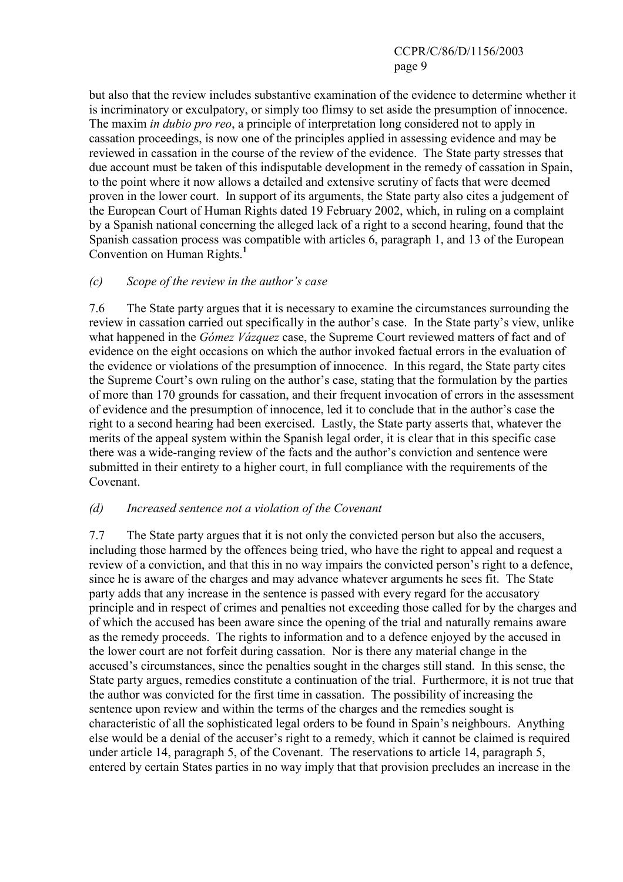but also that the review includes substantive examination of the evidence to determine whether it is incriminatory or exculpatory, or simply too flimsy to set aside the presumption of innocence. The maxim *in dubio pro reo*, a principle of interpretation long considered not to apply in cassation proceedings, is now one of the principles applied in assessing evidence and may be reviewed in cassation in the course of the review of the evidence. The State party stresses that due account must be taken of this indisputable development in the remedy of cassation in Spain, to the point where it now allows a detailed and extensive scrutiny of facts that were deemed proven in the lower court. In support of its arguments, the State party also cites a judgement of the European Court of Human Rights dated 19 February 2002, which, in ruling on a complaint by a Spanish national concerning the alleged lack of a right to a second hearing, found that the Spanish cassation process was compatible with articles 6, paragraph 1, and 13 of the European Convention on Human Rights.<sup>[1](#page-11-0)</sup>

### (c) Scope of the review in the author's case

7.6 The State party argues that it is necessary to examine the circumstances surrounding the review in cassation carried out specifically in the author's case. In the State party's view, unlike what happened in the *Gómez Vázquez* case, the Supreme Court reviewed matters of fact and of evidence on the eight occasions on which the author invoked factual errors in the evaluation of the evidence or violations of the presumption of innocence. In this regard, the State party cites the Supreme Court's own ruling on the author's case, stating that the formulation by the parties of more than 170 grounds for cassation, and their frequent invocation of errors in the assessment of evidence and the presumption of innocence, led it to conclude that in the author's case the right to a second hearing had been exercised. Lastly, the State party asserts that, whatever the merits of the appeal system within the Spanish legal order, it is clear that in this specific case there was a wide-ranging review of the facts and the author's conviction and sentence were submitted in their entirety to a higher court, in full compliance with the requirements of the Covenant.

### (d) Increased sentence not a violation of the Covenant

7.7 The State party argues that it is not only the convicted person but also the accusers, including those harmed by the offences being tried, who have the right to appeal and request a review of a conviction, and that this in no way impairs the convicted person's right to a defence, since he is aware of the charges and may advance whatever arguments he sees fit. The State party adds that any increase in the sentence is passed with every regard for the accusatory principle and in respect of crimes and penalties not exceeding those called for by the charges and of which the accused has been aware since the opening of the trial and naturally remains aware as the remedy proceeds. The rights to information and to a defence enjoyed by the accused in the lower court are not forfeit during cassation. Nor is there any material change in the accused's circumstances, since the penalties sought in the charges still stand. In this sense, the State party argues, remedies constitute a continuation of the trial. Furthermore, it is not true that the author was convicted for the first time in cassation. The possibility of increasing the sentence upon review and within the terms of the charges and the remedies sought is characteristic of all the sophisticated legal orders to be found in Spain's neighbours. Anything else would be a denial of the accuser's right to a remedy, which it cannot be claimed is required under article 14, paragraph 5, of the Covenant. The reservations to article 14, paragraph 5, entered by certain States parties in no way imply that that provision precludes an increase in the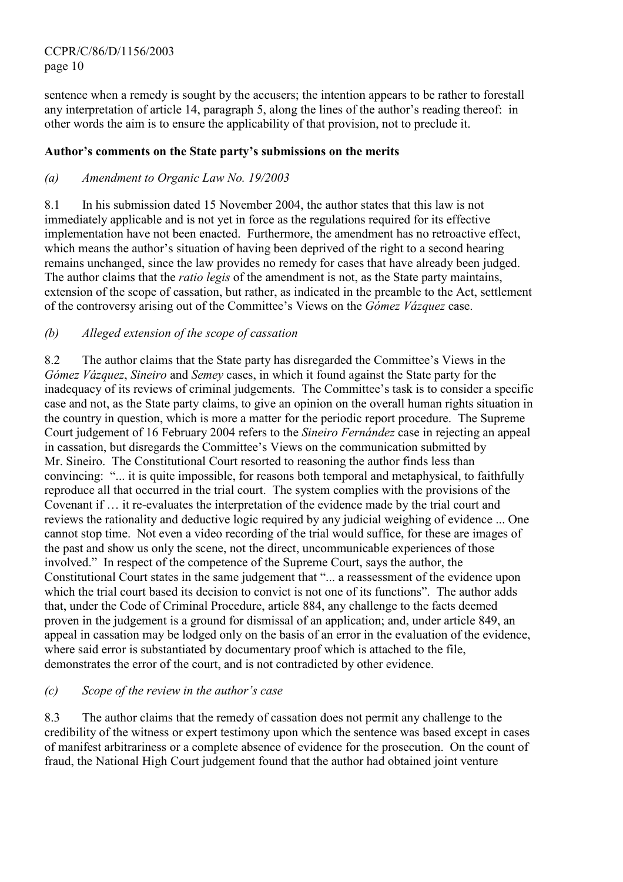sentence when a remedy is sought by the accusers; the intention appears to be rather to forestall any interpretation of article 14, paragraph 5, along the lines of the author's reading thereof: in other words the aim is to ensure the applicability of that provision, not to preclude it.

### Author's comments on the State party's submissions on the merits

### (a) Amendment to Organic Law No. 19/2003

8.1 In his submission dated 15 November 2004, the author states that this law is not immediately applicable and is not yet in force as the regulations required for its effective implementation have not been enacted. Furthermore, the amendment has no retroactive effect, which means the author's situation of having been deprived of the right to a second hearing remains unchanged, since the law provides no remedy for cases that have already been judged. The author claims that the *ratio legis* of the amendment is not, as the State party maintains, extension of the scope of cassation, but rather, as indicated in the preamble to the Act, settlement of the controversy arising out of the Committee's Views on the Gómez Vázquez case.

### (b) Alleged extension of the scope of cassation

8.2 The author claims that the State party has disregarded the Committee's Views in the Gómez Vázquez, Sineiro and Semey cases, in which it found against the State party for the inadequacy of its reviews of criminal judgements. The Committee's task is to consider a specific case and not, as the State party claims, to give an opinion on the overall human rights situation in the country in question, which is more a matter for the periodic report procedure. The Supreme Court judgement of 16 February 2004 refers to the Sineiro Fernández case in rejecting an appeal in cassation, but disregards the Committee's Views on the communication submitted by Mr. Sineiro. The Constitutional Court resorted to reasoning the author finds less than convincing: "... it is quite impossible, for reasons both temporal and metaphysical, to faithfully reproduce all that occurred in the trial court. The system complies with the provisions of the Covenant if … it re-evaluates the interpretation of the evidence made by the trial court and reviews the rationality and deductive logic required by any judicial weighing of evidence ... One cannot stop time. Not even a video recording of the trial would suffice, for these are images of the past and show us only the scene, not the direct, uncommunicable experiences of those involved." In respect of the competence of the Supreme Court, says the author, the Constitutional Court states in the same judgement that "... a reassessment of the evidence upon which the trial court based its decision to convict is not one of its functions". The author adds that, under the Code of Criminal Procedure, article 884, any challenge to the facts deemed proven in the judgement is a ground for dismissal of an application; and, under article 849, an appeal in cassation may be lodged only on the basis of an error in the evaluation of the evidence, where said error is substantiated by documentary proof which is attached to the file, demonstrates the error of the court, and is not contradicted by other evidence.

### (c) Scope of the review in the author's case

8.3 The author claims that the remedy of cassation does not permit any challenge to the credibility of the witness or expert testimony upon which the sentence was based except in cases of manifest arbitrariness or a complete absence of evidence for the prosecution. On the count of fraud, the National High Court judgement found that the author had obtained joint venture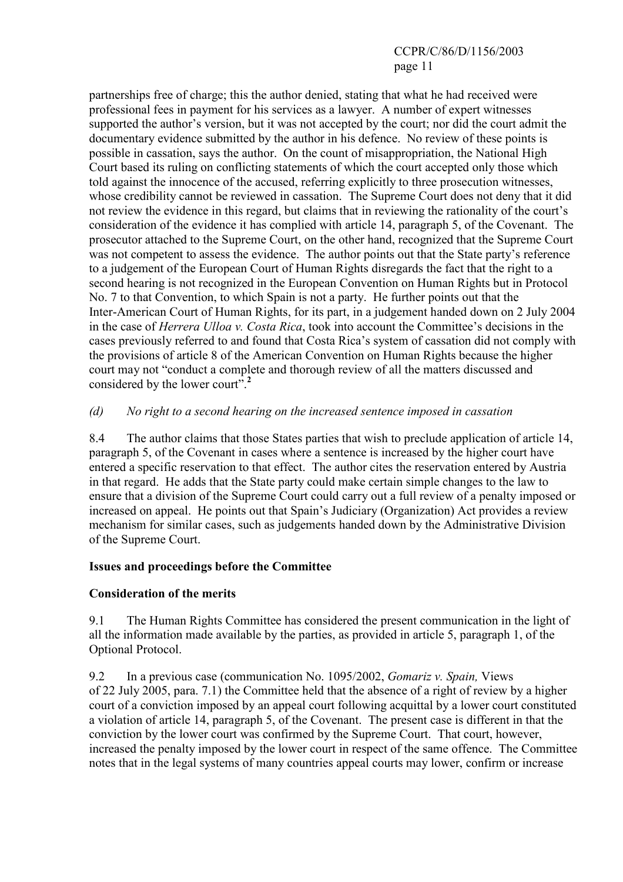partnerships free of charge; this the author denied, stating that what he had received were professional fees in payment for his services as a lawyer. A number of expert witnesses supported the author's version, but it was not accepted by the court; nor did the court admit the documentary evidence submitted by the author in his defence. No review of these points is possible in cassation, says the author. On the count of misappropriation, the National High Court based its ruling on conflicting statements of which the court accepted only those which told against the innocence of the accused, referring explicitly to three prosecution witnesses, whose credibility cannot be reviewed in cassation. The Supreme Court does not deny that it did not review the evidence in this regard, but claims that in reviewing the rationality of the court's consideration of the evidence it has complied with article 14, paragraph 5, of the Covenant. The prosecutor attached to the Supreme Court, on the other hand, recognized that the Supreme Court was not competent to assess the evidence. The author points out that the State party's reference to a judgement of the European Court of Human Rights disregards the fact that the right to a second hearing is not recognized in the European Convention on Human Rights but in Protocol No. 7 to that Convention, to which Spain is not a party. He further points out that the Inter-American Court of Human Rights, for its part, in a judgement handed down on 2 July 2004 in the case of Herrera Ulloa v. Costa Rica, took into account the Committee's decisions in the cases previously referred to and found that Costa Rica's system of cassation did not comply with the provisions of article 8 of the American Convention on Human Rights because the higher court may not "conduct a complete and thorough review of all the matters discussed and considered by the lower court".<sup>[2](#page-11-0)</sup>

### (d) No right to a second hearing on the increased sentence imposed in cassation

8.4 The author claims that those States parties that wish to preclude application of article 14, paragraph 5, of the Covenant in cases where a sentence is increased by the higher court have entered a specific reservation to that effect. The author cites the reservation entered by Austria in that regard. He adds that the State party could make certain simple changes to the law to ensure that a division of the Supreme Court could carry out a full review of a penalty imposed or increased on appeal. He points out that Spain's Judiciary (Organization) Act provides a review mechanism for similar cases, such as judgements handed down by the Administrative Division of the Supreme Court.

### Issues and proceedings before the Committee

### Consideration of the merits

9.1 The Human Rights Committee has considered the present communication in the light of all the information made available by the parties, as provided in article 5, paragraph 1, of the Optional Protocol.

9.2 In a previous case (communication No. 1095/2002, Gomariz v. Spain, Views of 22 July 2005, para. 7.1) the Committee held that the absence of a right of review by a higher court of a conviction imposed by an appeal court following acquittal by a lower court constituted a violation of article 14, paragraph 5, of the Covenant. The present case is different in that the conviction by the lower court was confirmed by the Supreme Court. That court, however, increased the penalty imposed by the lower court in respect of the same offence. The Committee notes that in the legal systems of many countries appeal courts may lower, confirm or increase